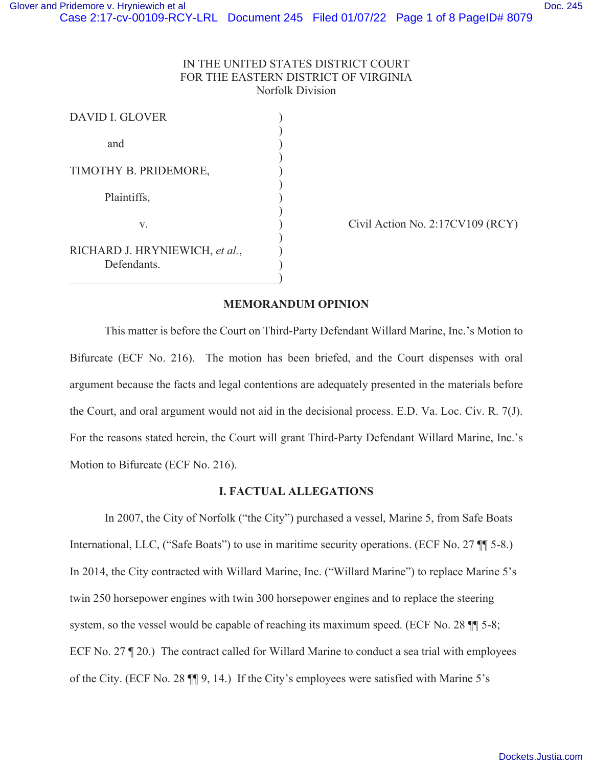# IN THE UNITED STATES DISTRICT COURT FOR THE EASTERN DISTRICT OF VIRGINIA Norfolk Division

| <b>DAVID I. GLOVER</b>         |  |
|--------------------------------|--|
|                                |  |
| and                            |  |
|                                |  |
| TIMOTHY B. PRIDEMORE,          |  |
| Plaintiffs,                    |  |
|                                |  |
| v.                             |  |
| RICHARD J. HRYNIEWICH, et al., |  |
| Defendants.                    |  |

Civil Action No.  $2:17CV109 (RCY)$ 

# **MEMORANDUM OPINION**

This matter is before the Court on Third-Party Defendant Willard Marine, Inc.'s Motion to Bifurcate (ECF No. 216). The motion has been briefed, and the Court dispenses with oral argument because the facts and legal contentions are adequately presented in the materials before the Court, and oral argument would not aid in the decisional process. E.D. Va. Loc. Civ. R. 7(J). For the reasons stated herein, the Court will grant Third-Party Defendant Willard Marine, Inc.'s Motion to Bifurcate (ECF No. 216).

### **I. FACTUAL ALLEGATIONS**

In 2007, the City of Norfolk ("the City") purchased a vessel, Marine 5, from Safe Boats International, LLC, ("Safe Boats") to use in maritime security operations. (ECF No. 27 ¶¶ 5-8.) In 2014, the City contracted with Willard Marine, Inc. ("Willard Marine") to replace Marine 5's twin 250 horsepower engines with twin 300 horsepower engines and to replace the steering system, so the vessel would be capable of reaching its maximum speed. (ECF No. 28  $\P$  5-8; ECF No. 27 ¶ 20.) The contract called for Willard Marine to conduct a sea trial with employees of the City. (ECF No. 28 ¶¶ 9, 14.) If the City's employees were satisfied with Marine 5's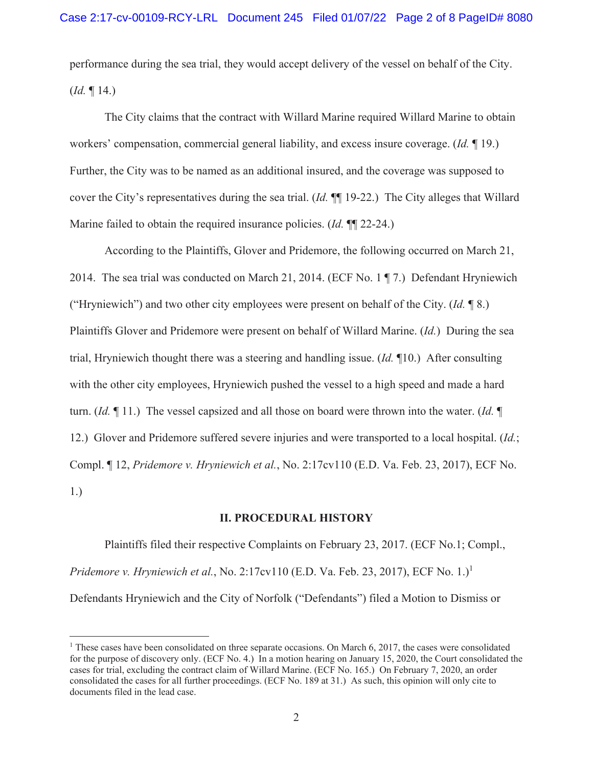performance during the sea trial, they would accept delivery of the vessel on behalf of the City. (*Id.* ¶ 14.)

The City claims that the contract with Willard Marine required Willard Marine to obtain workers' compensation, commercial general liability, and excess insure coverage. (*Id.* ¶ 19.) Further, the City was to be named as an additional insured, and the coverage was supposed to cover the City's representatives during the sea trial. (*Id.* ¶¶ 19-22.) The City alleges that Willard Marine failed to obtain the required insurance policies. (*Id.* ¶¶ 22-24.)

 According to the Plaintiffs, Glover and Pridemore, the following occurred on March 21, 2014. The sea trial was conducted on March 21, 2014. (ECF No. 1 ¶ 7.) Defendant Hryniewich ("Hryniewich") and two other city employees were present on behalf of the City. (*Id.* ¶ 8.) Plaintiffs Glover and Pridemore were present on behalf of Willard Marine. (*Id.*) During the sea trial, Hryniewich thought there was a steering and handling issue. (*Id.* ¶10.) After consulting with the other city employees, Hryniewich pushed the vessel to a high speed and made a hard turn. (*Id.* ¶ 11.) The vessel capsized and all those on board were thrown into the water. (*Id.* ¶ 12.) Glover and Pridemore suffered severe injuries and were transported to a local hospital. (*Id.*; Compl. ¶ 12, *Pridemore v. Hryniewich et al.*, No. 2:17cv110 (E.D. Va. Feb. 23, 2017), ECF No. 1.)

## **II. PROCEDURAL HISTORY**

 Plaintiffs filed their respective Complaints on February 23, 2017. (ECF No.1; Compl., *Pridemore v. Hryniewich et al.*, No. 2:17cv110 (E.D. Va. Feb. 23, 2017), ECF No. 1.)<sup>1</sup> Defendants Hryniewich and the City of Norfolk ("Defendants") filed a Motion to Dismiss or

<sup>&</sup>lt;sup>1</sup> These cases have been consolidated on three separate occasions. On March 6, 2017, the cases were consolidated for the purpose of discovery only. (ECF No. 4.) In a motion hearing on January 15, 2020, the Court consolidated the cases for trial, excluding the contract claim of Willard Marine. (ECF No. 165.) On February 7, 2020, an order consolidated the cases for all further proceedings. (ECF No. 189 at 31.) As such, this opinion will only cite to documents filed in the lead case.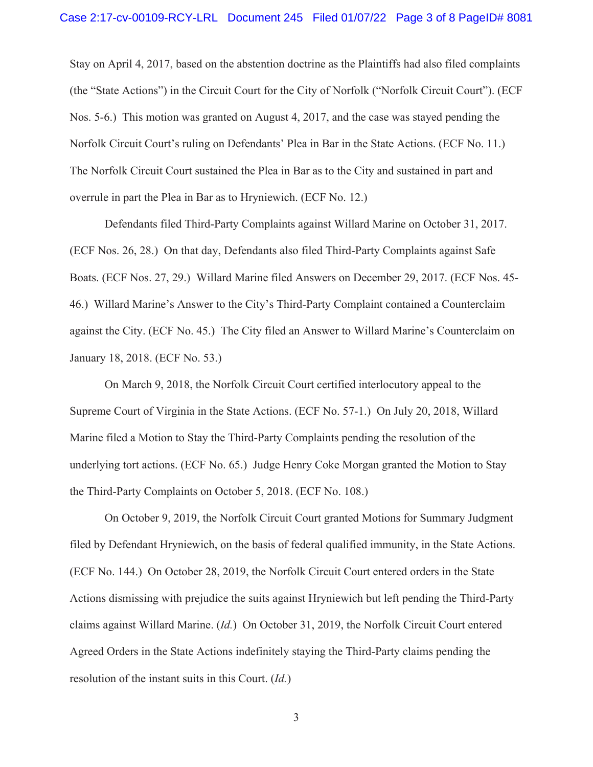Stay on April 4, 2017, based on the abstention doctrine as the Plaintiffs had also filed complaints (the "State Actions") in the Circuit Court for the City of Norfolk ("Norfolk Circuit Court"). (ECF Nos. 5-6.) This motion was granted on August 4, 2017, and the case was stayed pending the Norfolk Circuit Court's ruling on Defendants' Plea in Bar in the State Actions. (ECF No. 11.) The Norfolk Circuit Court sustained the Plea in Bar as to the City and sustained in part and overrule in part the Plea in Bar as to Hryniewich. (ECF No. 12.)

Defendants filed Third-Party Complaints against Willard Marine on October 31, 2017. (ECF Nos. 26, 28.) On that day, Defendants also filed Third-Party Complaints against Safe Boats. (ECF Nos. 27, 29.) Willard Marine filed Answers on December 29, 2017. (ECF Nos. 45- 46.) Willard Marine's Answer to the City's Third-Party Complaint contained a Counterclaim against the City. (ECF No. 45.) The City filed an Answer to Willard Marine's Counterclaim on January 18, 2018. (ECF No. 53.)

On March 9, 2018, the Norfolk Circuit Court certified interlocutory appeal to the Supreme Court of Virginia in the State Actions. (ECF No. 57-1.) On July 20, 2018, Willard Marine filed a Motion to Stay the Third-Party Complaints pending the resolution of the underlying tort actions. (ECF No. 65.) Judge Henry Coke Morgan granted the Motion to Stay the Third-Party Complaints on October 5, 2018. (ECF No. 108.)

On October 9, 2019, the Norfolk Circuit Court granted Motions for Summary Judgment filed by Defendant Hryniewich, on the basis of federal qualified immunity, in the State Actions. (ECF No. 144.) On October 28, 2019, the Norfolk Circuit Court entered orders in the State Actions dismissing with prejudice the suits against Hryniewich but left pending the Third-Party claims against Willard Marine. (*Id.*) On October 31, 2019, the Norfolk Circuit Court entered Agreed Orders in the State Actions indefinitely staying the Third-Party claims pending the resolution of the instant suits in this Court. (*Id.*)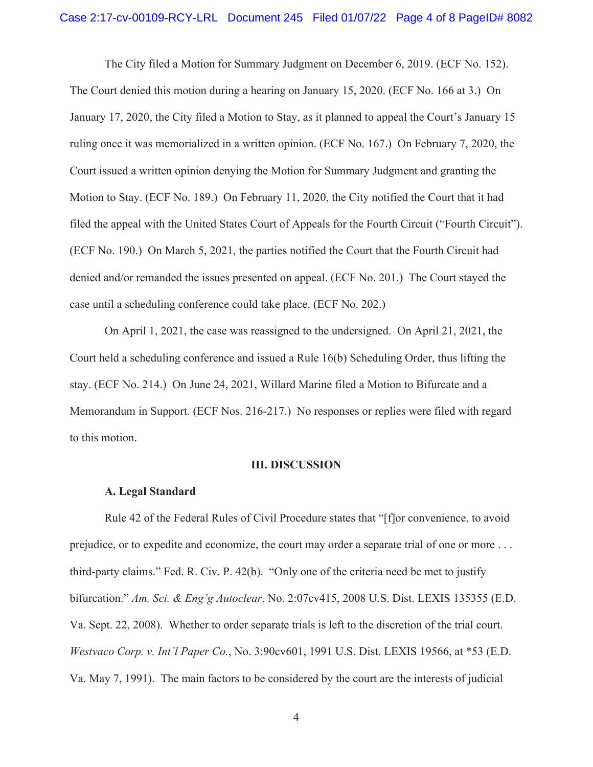The City filed a Motion for Summary Judgment on December 6, 2019. (ECF No. 152). The Court denied this motion during a hearing on January 15, 2020. (ECF No. 166 at 3.) On January 17, 2020, the City filed a Motion to Stay, as it planned to appeal the Court's January 15 ruling once it was memorialized in a written opinion. (ECF No. 167.) On February 7, 2020, the Court issued a written opinion denying the Motion for Summary Judgment and granting the Motion to Stay. (ECF No. 189.) On February 11, 2020, the City notified the Court that it had filed the appeal with the United States Court of Appeals for the Fourth Circuit ("Fourth Circuit"). (ECF No. 190.) On March 5, 2021, the parties notified the Court that the Fourth Circuit had denied and/or remanded the issues presented on appeal. (ECF No. 201.) The Court stayed the case until a scheduling conference could take place. (ECF No. 202.)

On April 1, 2021, the case was reassigned to the undersigned. On April 21, 2021, the Court held a scheduling conference and issued a Rule 16(b) Scheduling Order, thus lifting the stay. (ECF No. 214.) On June 24, 2021, Willard Marine filed a Motion to Bifurcate and a Memorandum in Support. (ECF Nos. 216-217.) No responses or replies were filed with regard to this motion.

#### **III. DISCUSSION**

#### **A. Legal Standard**

 Rule 42 of the Federal Rules of Civil Procedure states that "[f]or convenience, to avoid prejudice, or to expedite and economize, the court may order a separate trial of one or more . . . third-party claims." Fed. R. Civ. P. 42(b). "Only one of the criteria need be met to justify bifurcation." *Am. Sci. & Eng'g Autoclear*, No. 2:07cv415, 2008 U.S. Dist. LEXIS 135355 (E.D. Va. Sept. 22, 2008). Whether to order separate trials is left to the discretion of the trial court. *Westvaco Corp. v. Int'l Paper Co.*, No. 3:90cv601, 1991 U.S. Dist. LEXIS 19566, at \*53 (E.D. Va. May 7, 1991). The main factors to be considered by the court are the interests of judicial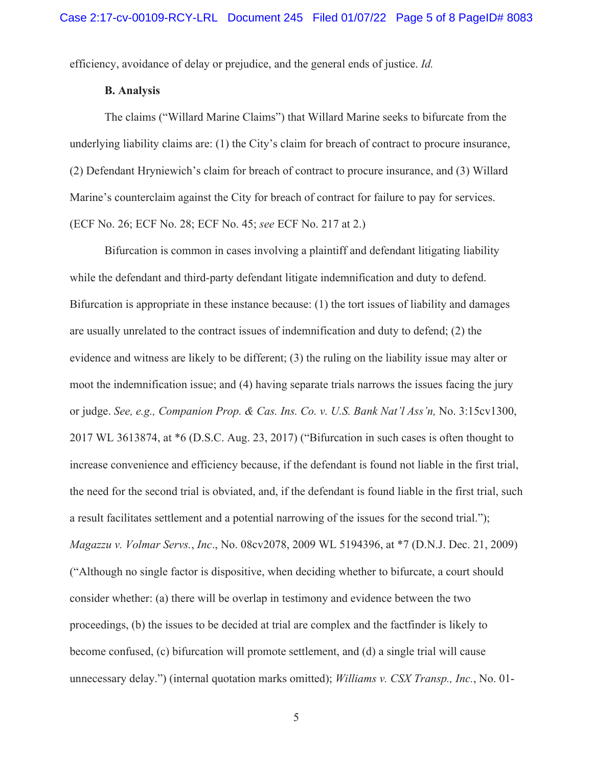efficiency, avoidance of delay or prejudice, and the general ends of justice. *Id.* 

## **B. Analysis**

 The claims ("Willard Marine Claims") that Willard Marine seeks to bifurcate from the underlying liability claims are: (1) the City's claim for breach of contract to procure insurance, (2) Defendant Hryniewich's claim for breach of contract to procure insurance, and (3) Willard Marine's counterclaim against the City for breach of contract for failure to pay for services. (ECF No. 26; ECF No. 28; ECF No. 45; *see* ECF No. 217 at 2.)

 Bifurcation is common in cases involving a plaintiff and defendant litigating liability while the defendant and third-party defendant litigate indemnification and duty to defend. Bifurcation is appropriate in these instance because: (1) the tort issues of liability and damages are usually unrelated to the contract issues of indemnification and duty to defend; (2) the evidence and witness are likely to be different; (3) the ruling on the liability issue may alter or moot the indemnification issue; and (4) having separate trials narrows the issues facing the jury or judge. *See, e.g., Companion Prop. & Cas. Ins. Co. v. U.S. Bank Nat'l Ass'n,* No. 3:15cv1300, 2017 WL 3613874, at \*6 (D.S.C. Aug. 23, 2017) ("Bifurcation in such cases is often thought to increase convenience and efficiency because, if the defendant is found not liable in the first trial, the need for the second trial is obviated, and, if the defendant is found liable in the first trial, such a result facilitates settlement and a potential narrowing of the issues for the second trial."); *Magazzu v. Volmar Servs.*, *Inc*., No. 08cv2078, 2009 WL 5194396, at \*7 (D.N.J. Dec. 21, 2009) ("Although no single factor is dispositive, when deciding whether to bifurcate, a court should consider whether: (a) there will be overlap in testimony and evidence between the two proceedings, (b) the issues to be decided at trial are complex and the factfinder is likely to become confused, (c) bifurcation will promote settlement, and (d) a single trial will cause unnecessary delay.") (internal quotation marks omitted); *Williams v. CSX Transp., Inc.*, No. 01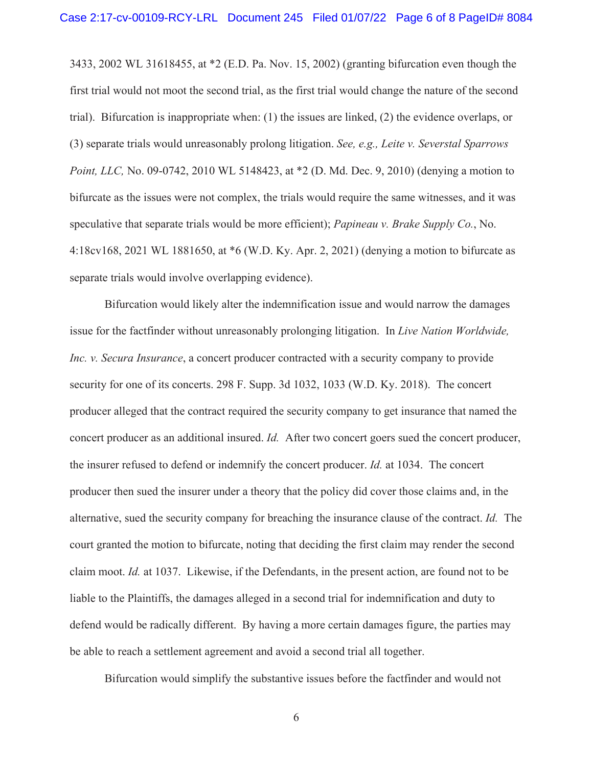3433, 2002 WL 31618455, at \*2 (E.D. Pa. Nov. 15, 2002) (granting bifurcation even though the first trial would not moot the second trial, as the first trial would change the nature of the second trial). Bifurcation is inappropriate when: (1) the issues are linked, (2) the evidence overlaps, or (3) separate trials would unreasonably prolong litigation. *See, e.g., Leite v. Severstal Sparrows Point, LLC, No.* 09-0742, 2010 WL 5148423, at \*2 (D. Md. Dec. 9, 2010) (denying a motion to bifurcate as the issues were not complex, the trials would require the same witnesses, and it was speculative that separate trials would be more efficient); *Papineau v. Brake Supply Co.*, No. 4:18cv168, 2021 WL 1881650, at \*6 (W.D. Ky. Apr. 2, 2021) (denying a motion to bifurcate as separate trials would involve overlapping evidence).

 Bifurcation would likely alter the indemnification issue and would narrow the damages issue for the factfinder without unreasonably prolonging litigation. In *Live Nation Worldwide, Inc. v. Secura Insurance*, a concert producer contracted with a security company to provide security for one of its concerts. 298 F. Supp. 3d 1032, 1033 (W.D. Ky. 2018). The concert producer alleged that the contract required the security company to get insurance that named the concert producer as an additional insured. *Id.* After two concert goers sued the concert producer, the insurer refused to defend or indemnify the concert producer. *Id.* at 1034. The concert producer then sued the insurer under a theory that the policy did cover those claims and, in the alternative, sued the security company for breaching the insurance clause of the contract. *Id.* The court granted the motion to bifurcate, noting that deciding the first claim may render the second claim moot. *Id.* at 1037. Likewise, if the Defendants, in the present action, are found not to be liable to the Plaintiffs, the damages alleged in a second trial for indemnification and duty to defend would be radically different. By having a more certain damages figure, the parties may be able to reach a settlement agreement and avoid a second trial all together.

Bifurcation would simplify the substantive issues before the factfinder and would not

6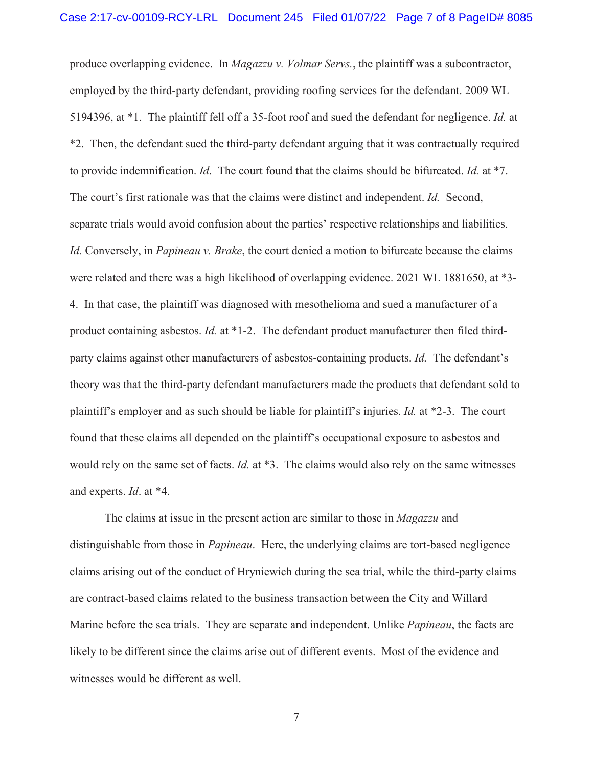produce overlapping evidence. In *Magazzu v. Volmar Servs.*, the plaintiff was a subcontractor, employed by the third-party defendant, providing roofing services for the defendant. 2009 WL 5194396, at \*1. The plaintiff fell off a 35-foot roof and sued the defendant for negligence. *Id.* at \*2. Then, the defendant sued the third-party defendant arguing that it was contractually required to provide indemnification. *Id*. The court found that the claims should be bifurcated. *Id.* at \*7. The court's first rationale was that the claims were distinct and independent. *Id.* Second, separate trials would avoid confusion about the parties' respective relationships and liabilities. *Id.* Conversely, in *Papineau v. Brake*, the court denied a motion to bifurcate because the claims were related and there was a high likelihood of overlapping evidence. 2021 WL 1881650, at \*3- 4. In that case, the plaintiff was diagnosed with mesothelioma and sued a manufacturer of a product containing asbestos. *Id.* at \*1-2. The defendant product manufacturer then filed thirdparty claims against other manufacturers of asbestos-containing products. *Id.* The defendant's theory was that the third-party defendant manufacturers made the products that defendant sold to plaintiff's employer and as such should be liable for plaintiff's injuries. *Id.* at \*2-3. The court found that these claims all depended on the plaintiff's occupational exposure to asbestos and would rely on the same set of facts. *Id.* at \*3. The claims would also rely on the same witnesses and experts. *Id*. at \*4.

 The claims at issue in the present action are similar to those in *Magazzu* and distinguishable from those in *Papineau*. Here, the underlying claims are tort-based negligence claims arising out of the conduct of Hryniewich during the sea trial, while the third-party claims are contract-based claims related to the business transaction between the City and Willard Marine before the sea trials. They are separate and independent. Unlike *Papineau*, the facts are likely to be different since the claims arise out of different events. Most of the evidence and witnesses would be different as well.

7